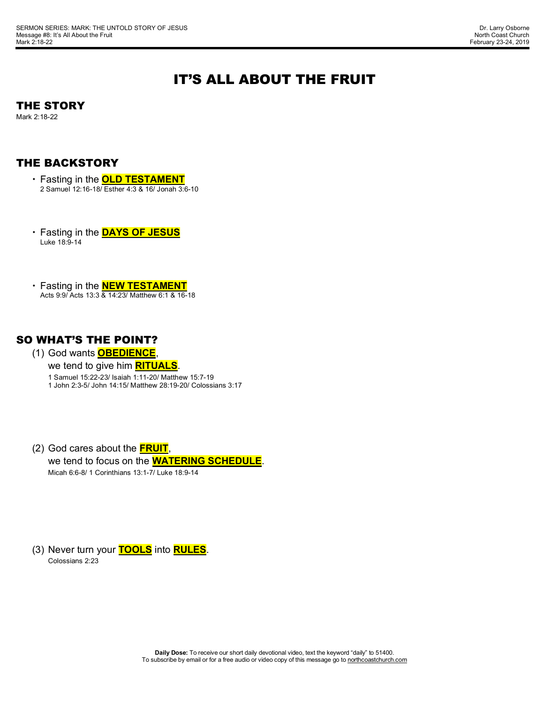# IT'S ALL ABOUT THE FRUIT

### THE STORY

Mark 2:18-22

### THE BACKSTORY

- Fasting in the **OLD TESTAMENT** 2 Samuel 12:16-18/ Esther 4:3 & 16/ Jonah 3:6-10
- Fasting in the **DAYS OF JESUS** Luke 18:9-14
- Fasting in the **NEW TESTAMENT** Acts 9:9/ Acts 13:3 & 14:23/ Matthew 6:1 & 16-18

### SO WHAT'S THE POINT?

- (1) God wants **OBEDIENCE**,
	- we tend to give him **RITUALS**.

1 Samuel 15:22-23/ Isaiah 1:11-20/ Matthew 15:7-19 1 John 2:3-5/ John 14:15/ Matthew 28:19-20/ Colossians 3:17

(2) God cares about the **FRUIT**, we tend to focus on the **WATERING SCHEDULE**. Micah 6:6-8/ 1 Corinthians 13:1-7/ Luke 18:9-14

(3) Never turn your **TOOLS** into **RULES**. Colossians 2:23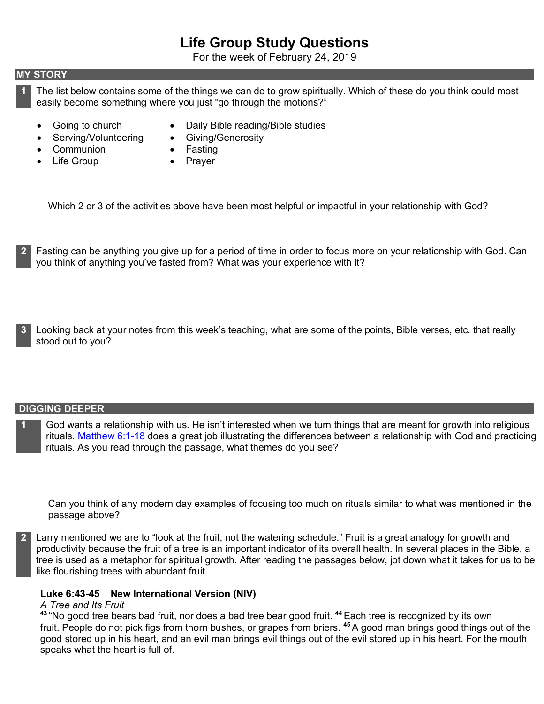# **Life Group Study Questions**

For the week of February 24, 2019

#### **MY STORY**

**1** The list below contains some of the things we can do to grow spiritually. Which of these do you think could most easily become something where you just "go through the motions?"

• Daily Bible reading/Bible studies

- Going to church
- Serving/Volunteering
- Giving/Generosity • Fasting
- Communion • Life Group
- Prayer

Which 2 or 3 of the activities above have been most helpful or impactful in your relationship with God?

- **2** Fasting can be anything you give up for a period of time in order to focus more on your relationship with God. Can you think of anything you've fasted from? What was your experience with it?
- **3** Looking back at your notes from this week's teaching, what are some of the points, Bible verses, etc. that really stood out to you?

#### **DIGGING DEEPER**

**1** God wants a relationship with us. He isn't interested when we turn things that are meant for growth into religious rituals. Matthew 6:1-18 does a great job illustrating the differences between a relationship with God and practicing rituals. As you read through the passage, what themes do you see?

Can you think of any modern day examples of focusing too much on rituals similar to what was mentioned in the passage above?

**2** Larry mentioned we are to "look at the fruit, not the watering schedule." Fruit is a great analogy for growth and productivity because the fruit of a tree is an important indicator of its overall health. In several places in the Bible, a tree is used as a metaphor for spiritual growth. After reading the passages below, jot down what it takes for us to be like flourishing trees with abundant fruit.

#### **Luke 6:43-45 New International Version (NIV)**

#### *A Tree and Its Fruit*

**<sup>43</sup>** "No good tree bears bad fruit, nor does a bad tree bear good fruit. **<sup>44</sup>** Each tree is recognized by its own fruit. People do not pick figs from thorn bushes, or grapes from briers. **<sup>45</sup>** A good man brings good things out of the good stored up in his heart, and an evil man brings evil things out of the evil stored up in his heart. For the mouth speaks what the heart is full of.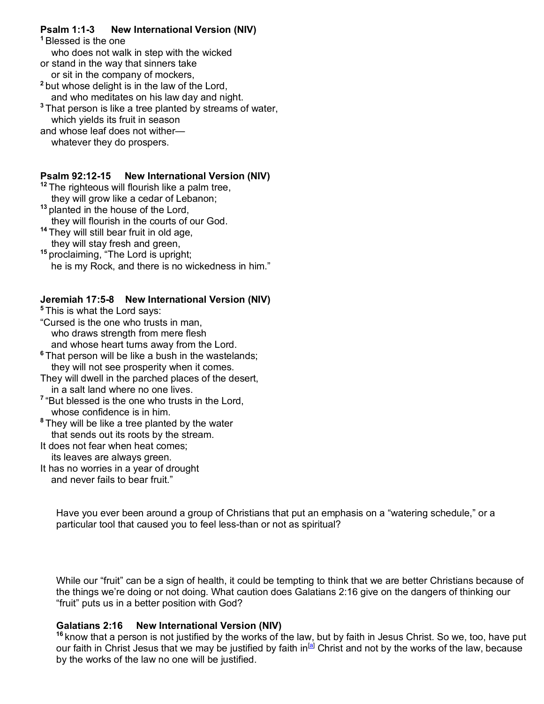# **Psalm 1:1-3 New International Version (NIV)**

**<sup>1</sup>** Blessed is the one who does not walk in step with the wicked or stand in the way that sinners take or sit in the company of mockers, **<sup>2</sup>** but whose delight is in the law of the Lord, and who meditates on his law day and night. **<sup>3</sup>** That person is like a tree planted by streams of water, which yields its fruit in season and whose leaf does not wither whatever they do prospers.

### **Psalm 92:12-15 New International Version (NIV)**

<sup>12</sup> The righteous will flourish like a palm tree. they will grow like a cedar of Lebanon;

- **<sup>13</sup>** planted in the house of the Lord, they will flourish in the courts of our God.
- **<sup>14</sup>** They will still bear fruit in old age, they will stay fresh and green,

**<sup>15</sup>** proclaiming, "The Lord is upright; he is my Rock, and there is no wickedness in him."

## **Jeremiah 17:5-8 New International Version (NIV)**

**<sup>5</sup>** This is what the Lord says:

- "Cursed is the one who trusts in man, who draws strength from mere flesh and whose heart turns away from the Lord.
- **<sup>6</sup>** That person will be like a bush in the wastelands; they will not see prosperity when it comes.
- They will dwell in the parched places of the desert, in a salt land where no one lives.
- **<sup>7</sup>** "But blessed is the one who trusts in the Lord, whose confidence is in him.
- **<sup>8</sup>** They will be like a tree planted by the water that sends out its roots by the stream.
- It does not fear when heat comes; its leaves are always green.
- It has no worries in a year of drought and never fails to bear fruit."

Have you ever been around a group of Christians that put an emphasis on a "watering schedule," or a particular tool that caused you to feel less-than or not as spiritual?

While our "fruit" can be a sign of health, it could be tempting to think that we are better Christians because of the things we're doing or not doing. What caution does Galatians 2:16 give on the dangers of thinking our "fruit" puts us in a better position with God?

# **Galatians 2:16 New International Version (NIV)**

**<sup>16</sup>** know that a person is not justified by the works of the law, but by faith in Jesus Christ. So we, too, have put our faith in Christ Jesus that we may be justified by faith in<sup>[a]</sup> Christ and not by the works of the law, because by the works of the law no one will be justified.